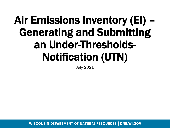# Air Emissions Inventory (EI) – Generating and Submitting an Under-Thresholds-Notification (UTN)

July 2021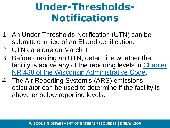# **Under-Thresholds-Notifications**

- 1. An Under-Thresholds-Notification (UTN) can be submitted in lieu of an EI and certification.
- 2. UTNs are due on March 1.
- 3. Before creating an UTN, determine whether the [facility is above any of the reporting levels in Chapter](https://docs.legis.wisconsin.gov/code/admin_code/nr/400/438)  NR 438 of the Wisconsin Administrative Code.
- 4. The Air Reporting System's (ARS) emissions calculator can be used to determine if the facility is above or below reporting levels.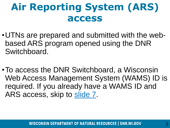## **Air Reporting System (ARS) access**

- •UTNs are prepared and submitted with the webbased ARS program opened using the DNR Switchboard.
- •To access the DNR Switchboard, a Wisconsin Web Access Management System (WAMS) ID is required. If you already have a WAMS ID and ARS access, skip to [slide 7](#page-6-0).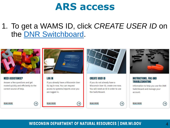### 1. To get a WAMS ID, click CREATE USER ID on the DNR Switchboard.



#### **NEED ASSISTANCE?**

Answer a few questions and get routed quickly and efficiently to the correct source of help.

**READ MORE** 





#### **LOG IN**

**READ MORE** 

If you already have a Wisconsin User ID, log in now. You can request access to systems/reports once you are logged in.



#### **CREATE USER ID**

If you do not already have a Wisconsin User ID, create one now. You will need an ID in order to use the Switchboard.



#### **INSTRUCTIONS, FAQ AND TROUBLESHOOTING**

Information to help you use the DNR Switchboard and manage your account.

**READ MORE** 

**READ MORE** 

 $(\rightarrow)$ 

 $(\rightarrow)$ 

 $(\rightarrow)$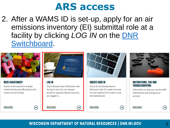2. After a WAMS ID is set-up, apply for an air emissions inventory (EI) submittal role at a facility by clicking LOG IN on the DNR Switchboard.

> Vietname fusername Password [ ....... ]  $\begin{tabular}{|c|c|} \hline \rule{0.3cm}{.4cm} \rule{0.3cm}{.4cm} \rule{0.3cm}{.4cm} \rule{0.3cm}{.4cm} \rule{0.3cm}{.4cm} \rule{0.3cm}{.4cm} \rule{0.3cm}{.4cm} \rule{0.3cm}{.4cm} \rule{0.3cm}{.4cm} \rule{0.3cm}{.4cm} \rule{0.3cm}{.4cm} \rule{0.3cm}{.4cm} \rule{0.3cm}{.4cm} \rule{0.3cm}{.4cm} \rule{0.3cm}{.4cm} \rule{0.3cm}{.4cm} \rule{0.3cm}{.4cm} \$



#### **NEED ASSISTANCE?**

Answer a few questions and get routed quickly and efficiently to the correct source of help.

**READ MORE** 



 $(\rightarrow)$ 

#### **LOG IN**

**READ MORE** 

If you already have a Wisconsin User ID, log in now. You can request access to systems/reports once you are logged in.



#### **CREATE USER ID**

If you do not already have a Wisconsin User ID, create one now. You will need an ID in order to use the Switchboard.



#### **INSTRUCTIONS, FAO AND TROUBLESHOOTING**

Information to help you use the DNR Switchboard and manage your account.

**READ MORE** 

**READ MORE** 

 $(\rightarrow)$ 

 $\rightarrow$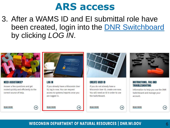3. After a WAMS ID and EI submittal role have been created, login into the DNR Switchboard by clicking LOG IN.



**NEED ASSISTANCE?** 

Answer a few questions and get routed quickly and efficiently to the correct source of help.

**READ MORE** 



 $\Theta$ 

**LOG IN** 

**READ MORE** 

If you already have a Wisconsin User ID, log in now. You can request access to systems/reports once you are logged in.

Vietname [Giername] Password [ ....... ]  $\begin{tabular}{|c|c|} \hline \rule{0.3cm}{.4cm} \rule{0.3cm}{.4cm} \rule{0.3cm}{.4cm} \rule{0.3cm}{.4cm} \rule{0.3cm}{.4cm} \rule{0.3cm}{.4cm} \rule{0.3cm}{.4cm} \rule{0.3cm}{.4cm} \rule{0.3cm}{.4cm} \rule{0.3cm}{.4cm} \rule{0.3cm}{.4cm} \rule{0.3cm}{.4cm} \rule{0.3cm}{.4cm} \rule{0.3cm}{.4cm} \rule{0.3cm}{.4cm} \rule{0.3cm}{.4cm} \rule{0.3cm}{.4cm} \$ 



#### **CREATE USER ID**

If you do not already have a Wisconsin User ID, create one now. You will need an ID in order to use the Switchboard.



#### **INSTRUCTIONS, FAQ AND TROUBLESHOOTING**

Information to help you use the DNR Switchboard and manage your account.

**READ MORE** 

**READ MORE** 

 $\leftrightarrow$ 

6

**WISCONSIN DEPARTMENT OF NATURAL RESOURCES | DNR.WI.GOV** 

 $\rightarrow$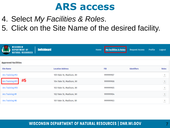- <span id="page-6-0"></span>4. Select *My Facilities & Roles*.
- 5. Click on the Site Name of the desired facility.

| WISCONSIN<br>DEPARTMENT OF<br><b>NATURAL RESOURCES</b> | <b>Switchboard</b>       | Home | <b>My Facilities &amp; Roles</b> | <b>Request Access</b> | Profile | Logout          |
|--------------------------------------------------------|--------------------------|------|----------------------------------|-----------------------|---------|-----------------|
|                                                        |                          |      |                                  |                       |         |                 |
| <b>Approved Facilities</b>                             |                          |      |                                  |                       |         |                 |
| <b>Site Name</b>                                       | <b>Location Address</b>  |      | <b>FID</b>                       | <b>Identifiers</b>    |         | <b>Roles</b>    |
| Ars Training #12                                       | 105 Fake St, Madison, WI |      | 999999907                        |                       |         | $\lfloor$ 1     |
| #5<br>Ars Training #11                                 | 104 Fake St, Madison, WI |      | 999999906                        |                       |         | $\vert$ 1       |
| Ars Training #10                                       | 103 Fake St, Madison, WI |      | 999999905                        |                       |         | $\vert$ 1       |
| Ars Training #9                                        | 102 Fake St, Madison, WI |      | 999999904                        |                       |         | $\vert 1 \vert$ |
| Ars Training #8                                        | 101 Fake St, Madison, WI |      | 999999903                        |                       |         | $\vert 1 \vert$ |
|                                                        |                          |      |                                  |                       |         |                 |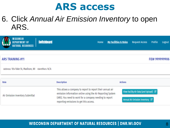### 6. Click *Annual Air Emission Inventory* to open ARS.

| <b>WISCONSIN</b><br>DEPARTMENT OF<br>Natural resources | <b>Switchboard</b> | Home                                                                                                                                                                                                                           | <b>My Facilities &amp; Roles</b> | <b>Request Access</b>                                                    | Profile        | Logout |
|--------------------------------------------------------|--------------------|--------------------------------------------------------------------------------------------------------------------------------------------------------------------------------------------------------------------------------|----------------------------------|--------------------------------------------------------------------------|----------------|--------|
|                                                        |                    |                                                                                                                                                                                                                                |                                  |                                                                          |                |        |
| <b>ARS TRAINING #11</b>                                |                    |                                                                                                                                                                                                                                |                                  |                                                                          | FID# 999999906 |        |
| Address: 104 Fake St, Madison, WI Identifiers: N/A     |                    |                                                                                                                                                                                                                                |                                  |                                                                          |                |        |
| <b>Role</b>                                            | <b>Description</b> |                                                                                                                                                                                                                                | <b>Actions</b>                   |                                                                          |                |        |
| Air Emission Inventory Submittal                       |                    | This allows a company to report to report their annual air<br>emission information online using the Air Reporting System<br>(ARS). You need to work for a company needing to report<br>reporting emissions to get this access. |                                  | View Facility Air Data (and Upload) C<br>Annual Air Emission Inventory & |                |        |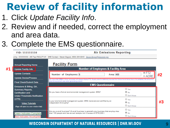# **Review of facility information**

- 1. Click *Update Facility Info*.
- 2. Review and if needed, correct the employment and area data.
- 3. Complete the EMS questionnaire.

|    | FID: 555555550                                                                                                                                                                                                                       | <b>Air Emissions Reporting</b>                                                                                                                                                                                        |                                                          |    |  |  |
|----|--------------------------------------------------------------------------------------------------------------------------------------------------------------------------------------------------------------------------------------|-----------------------------------------------------------------------------------------------------------------------------------------------------------------------------------------------------------------------|----------------------------------------------------------|----|--|--|
|    |                                                                                                                                                                                                                                      | icility - 555555550 : AIR Test FACILITY #1 DNR Contact : Steven Bogost, (608) 264-8843 Steven.Bogost@wisconsin.gov                                                                                                    |                                                          |    |  |  |
|    | <b>Annual Reporting Home</b>                                                                                                                                                                                                         | <b>Facility Form</b>                                                                                                                                                                                                  |                                                          |    |  |  |
| #1 | <b>Update Facility Info</b>                                                                                                                                                                                                          | <b>Number of Employees &amp; Facility Area</b>                                                                                                                                                                        |                                                          |    |  |  |
|    | <b>Update Contacts</b><br><b>Update Device/Process</b>                                                                                                                                                                               | Number of Employees: 6<br>Area: 400                                                                                                                                                                                   | $\circ$ FT2<br>◎ ACRE                                    | #2 |  |  |
|    |                                                                                                                                                                                                                                      | You may enter AREA in Agre, but screen will always display FT2. Supply area for stationary sources from fence line to fence line or, for portables, the amount of<br>area the equipment uses when generating product. |                                                          |    |  |  |
|    | <b>Final Check/Submit Data</b><br>Emissions & Billing, QA,<br><b>Summary Reports,</b><br><b>Certification and</b><br><b>Under-Thresholds-Notification</b><br>(UTN)<br><b>Video Tutorials</b><br>(Page will open in a new window/tab) | <b>EMS Questionnaire</b>                                                                                                                                                                                              |                                                          |    |  |  |
|    |                                                                                                                                                                                                                                      | Do you have a form al environmental management system (EMS)?                                                                                                                                                          | $\bigcirc$ Yes<br>$\circledcirc$ No                      |    |  |  |
|    |                                                                                                                                                                                                                                      | Is your environmental management system (EMS) reviewed and certified by an<br>independent third party?                                                                                                                | $\bigcirc$ Yes<br>$\circledcirc$ No<br><b>Don't Knoy</b> | #3 |  |  |
|    | Green Indicates Complete<br>Red Indicates Incomplete                                                                                                                                                                                 | Are you a small business? (A small business is generally any business that employs less<br>than 100 people and has annual receipts not in excess of \$750,000.)                                                       | $\bigcirc$ Yes<br>$\circledcirc$ No<br><b>Don't Know</b> |    |  |  |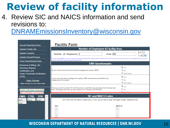## **Review of facility information**

4. Review SIC and NAICS information and send revisions to:

[DNRAMEmissionsInventory@wisconsin.gov](mailto:DNRAMEmissionsInventory@wisconsin.gov)

| <b>Annual Reporting Home</b>                                                                | <b>Facility Form</b>                                                                                                                                              |                                                     |  |
|---------------------------------------------------------------------------------------------|-------------------------------------------------------------------------------------------------------------------------------------------------------------------|-----------------------------------------------------|--|
| <b>Update Facility Info</b>                                                                 | <b>Number of Employees &amp; Facility Area</b>                                                                                                                    |                                                     |  |
| <b>Update Contacts</b>                                                                      | Number of Employees: 2<br>Area: 500                                                                                                                               | $\circ$ FT2<br>◎ ACRE                               |  |
| <b>Update Device/Process</b>                                                                | You may enter AREA in Agre, but screen will always display FT2. Supply area for stationary sources from fence line to fence line or, for portables, the amount of |                                                     |  |
| <b>Final Check/Submit Data</b>                                                              | area the equipment uses when generating product.                                                                                                                  |                                                     |  |
| Emissions & Billing, QA,                                                                    | <b>EMS Questionnaire</b>                                                                                                                                          |                                                     |  |
| <b>Summary Reports,</b><br><b>Certification and</b><br><b>Under-Thresholds-Notification</b> | Do you have a formal environmental management system (EMS)?                                                                                                       | $\circledcirc$ Yes<br>$\bigcirc$ No<br>O Don't Know |  |
| (UTN)<br><b>Video Tutorials</b>                                                             | Is your environmental management system (EMS) reviewed and certified by an<br>independent third party?                                                            | $\circledcirc$ Yes<br>$\bigcirc$ No<br>O Don't Knov |  |
| (Page will open in a new window/tab)<br><b>Green Indicates Complete</b>                     | Are you a small business? (A small business is generally any business that employs less<br>than 100 people and has annual receipts not in excess of \$750,000.)   | $\circledcirc$ Yes<br>$\bigcirc$ No                 |  |
| Red Indicates Incomplete<br><b>STK</b><br><b>EMIS</b><br><b>CTRL</b>                        | <b>SIC and NAICS Codes</b>                                                                                                                                        |                                                     |  |
| C01-01<br>$s01-01$<br>$bb-01$                                                               | SIC and NAICS data is read-only. If you would like to see changes made, please email                                                                              |                                                     |  |
| $bb-02$                                                                                     | <b>SIC</b>                                                                                                                                                        | <b>NAICS</b>                                        |  |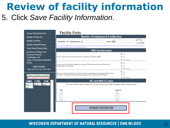## **Review of facility information** 5. Click *Save Facility Information*.

| <b>Annual Reporting Home</b>                                   | <b>Facility Form</b>                                                                                                                                                                                              |
|----------------------------------------------------------------|-------------------------------------------------------------------------------------------------------------------------------------------------------------------------------------------------------------------|
| <b>Update Facility Info</b>                                    | <b>Number of Employees &amp; Facility Area</b>                                                                                                                                                                    |
| <b>Update Contacts</b>                                         | $@$ FT2<br>Area: 500<br>Number of Employees: 2                                                                                                                                                                    |
| <b>Update Device/Process</b>                                   | $\circ$ ACRF<br>You may enter AREA in Agre, but screen will always display FT2. Supply area for stationary sources from fence line to fence line or, for portables, the amount                                    |
| <b>Final Check/Submit Data</b>                                 | of area the equipment uses when generating product.                                                                                                                                                               |
| Emissions & Billing, QA,                                       | <b>EMS Questionnaire</b>                                                                                                                                                                                          |
| <b>Summary Reports,</b><br><b>Certification and</b>            | $\circledcirc$ Yes<br>$\bigcirc$ No<br>Do you have a formal environmental management system (EMS)?                                                                                                                |
| Under-Thresholds-Notification<br>(UTN)                         | Don't Know<br>(C) Yes<br>Is your environmental management system (EMS) reviewed and certified by an                                                                                                               |
| <b>Video Tutorials</b><br>(Page will open in a new window/tab) | $\bigcirc$ No<br>independent third party?<br>Don't Know                                                                                                                                                           |
| <b>Green Indicates Complete</b><br>Red Indicates Incomplete    | $\bullet$ Yes<br>Are you a small business? (A small business is generally any business that employs<br>$\bigcirc$ No<br>less than 100 people and has annual receipts not in excess of \$750,000.)<br>O Don't Know |
| <b>CTRI</b><br><b>STK</b><br><b>EMIS</b>                       | <b>SIC and NAICS Codes</b>                                                                                                                                                                                        |
| C01-01<br>$bb-01$<br>$s01-01$<br>$bb-02$                       | SIC and NAICS data is read-only. If you would like to see changes made, please email                                                                                                                              |
|                                                                | <b>SIC</b><br><b>NAICS</b><br>止<br>$\overline{\mathbf{v}}$                                                                                                                                                        |
|                                                                | <b>Save Facility Information</b>                                                                                                                                                                                  |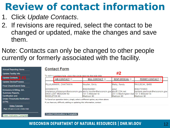## **Review of contact information**

- 1. Click *Update Contacts*.
- 2. If revisions are required, select the contact to be changed or updated, make the changes and save them.
- Note: Contacts can only be changed to other people currently or formerly associated with the facility.

| <b>Annual Reporting Home</b>         |
|--------------------------------------|
| <b>Update Facility Info</b>          |
| #1<br><b>Update Contacts</b>         |
| <b>Update Device/Process</b>         |
| <b>Final Check/Submit Data</b>       |
| Emissions & Billing, QA,             |
| <b>Summary Reports,</b>              |
| <b>Certification and</b>             |
| Under-Thresholds-Notification        |
| (UTN)                                |
| <b>Video Tutorials</b>               |
| (Page will open in a new window/tab) |

**Green Indicates Complete** 

**Contact Form** 

|                                                                                                                                             |  | To edit a contact/role, click the circle next to the role title |                                               | $\mathbf{H}$                                                 |                                                             |  |
|---------------------------------------------------------------------------------------------------------------------------------------------|--|-----------------------------------------------------------------|-----------------------------------------------|--------------------------------------------------------------|-------------------------------------------------------------|--|
|                                                                                                                                             |  | AIR CONTACT O                                                   | <b>BILL CONTACT O</b>                         | <b>RESP OFFICIAL</b> O                                       | <b>PERMIT CONTACT O</b>                                     |  |
|                                                                                                                                             |  | PILLALAMARRI, CHAITANYA                                         | Houtler, Emily                                | Matty, Randy                                                 | PAVLISCAK, BARB                                             |  |
| 9209683375<br>chaitanya.pillalamarri@wisconsin.gov  emily.houtler@wisconsin.gov  abc@1234.net<br>9409 LOST MEADOW RD<br><b>MIDDLETON WI</b> |  |                                                                 | 6082646891<br>1101 S Webster St<br>Madison WI | Isdsd<br>201 E Washington Ave 101 S Webster St<br>Madison WI | 6082735603<br>barbara.pavliscak@wisconsin.gov<br>Madison WI |  |

**#2**

To Cancel an operation below, simply select a different option, anywhere above.

If you have any difficulty adding or updating this information, contact:

**Contact Information is Complete**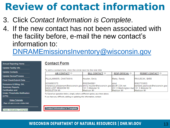## **Review of contact information**

- 3. Click *Contact Information is Complete*.
- 4. If the new contact has not been associated with the facility before, e-mail the new contact's information to:

[DNRAMEmissionsInventory@wisconsin.gov](mailto:DNRAMEmissionsInventory@wisconsin.gov)

| <b>Annual Reporting Home</b>         |
|--------------------------------------|
| <b>Update Facility Info</b>          |
| <b>Update Contacts</b>               |
| <b>Update Device/Process</b>         |
| <b>Final Check/Submit Data</b>       |
| Emissions & Billing, QA,             |
| <b>Summary Reports,</b>              |
| <b>Certification and</b>             |
| Under-Thresholds-Notification        |
| (UTN)                                |
| <b>Video Tutorials</b>               |
| (Page will open in a new window/tab) |

Green Indicates Complete

#### **Contact Form**

To edit a contact/role, click the circle next to the role title

| AIR CONTACT O                                                                                                                         | <b>BILL CONTACT ©</b>                         | <b>RESP OFFICIAL O</b>                                       | <b>PERMIT CONTACT O</b>                                            |
|---------------------------------------------------------------------------------------------------------------------------------------|-----------------------------------------------|--------------------------------------------------------------|--------------------------------------------------------------------|
| PILLALAMARRI. CHAITANYA                                                                                                               | Houtler, Emily                                | Matty, Randy                                                 | PAVLISCAK, BARB                                                    |
| 9209683375<br> chaitanya.pillalamarri@wisconsin.gov  emily.houtler@wisconsin.gov  abc@1234.net<br>9409 LOST MEADOW RD<br>MIDDLETON WI | 6082646891<br>1101 S Webster St<br>Madison WI | Isdsd<br>201 E Washington Ave 101 S Webster St<br>Madison WI | 6082735603<br>barbara.pavliscak@wisconsin.gov<br><b>Madison WI</b> |

To Cancel an operation below, simply select a different option, anywhere above.

If you have any difficulty adding or updating this information, contact:

**Contact Information is Complete**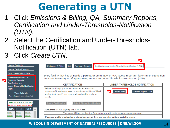## **Generating a UTN**

- 1. Click *Emissions & Billing, QA, Summary Reports, Certification and Under-Thresholds-Notification (UTN).*
- 2. Select the Certification and Under-Thresholds-Notification (UTN) tab.
- 3. Click *Create UTN*.

| #1                                                                                       | <b>Update Contacts</b><br>Update Device/Process<br><b>Final Check/Submit Data</b><br>Emissions & Billing, QA,<br><b>Summary Reports,</b> | <b>Summary Reports</b><br>Emissions & Billing   QA<br>emission inventory or, if appropriate, submit an Under Thresholds Notification (UTN).                                                        | Certification and Under-Thresholds-Notification (UTN)<br>Every facility that has or needs a permit; or emits NOx or VOC above reporting levels in an ozone non |  |  |  |
|------------------------------------------------------------------------------------------|------------------------------------------------------------------------------------------------------------------------------------------|----------------------------------------------------------------------------------------------------------------------------------------------------------------------------------------------------|----------------------------------------------------------------------------------------------------------------------------------------------------------------|--|--|--|
|                                                                                          | <b>Certification and</b><br>Under-Thresholds-Notification                                                                                | <b>CERTIFICATION</b>                                                                                                                                                                               | UNDER-THRESHOLDS-NOTIFICATION                                                                                                                                  |  |  |  |
|                                                                                          | (UTN)<br><b>Video Tutorials</b><br>(Page will open in a new window/tab)                                                                  | Before certifying, you must submit an air emissions<br>inventory (EI) and must have received an email from WDNR<br>stating that your El has been reviewed and is ready to<br>certify.              | #3<br><b>Submit Signed UTN</b><br><b>Create UTN</b>                                                                                                            |  |  |  |
|                                                                                          | <b>Green Indicates Complete</b><br>Red Indicates Incomplete                                                                              | <b>Create Certification</b><br><b>Submit Signed Certification</b>                                                                                                                                  |                                                                                                                                                                |  |  |  |
| <b>EMIS</b><br><b>CTRL</b><br><b>STK</b><br>Pursuant to NR 438.03(5)(c), Wis. Adm. Code. |                                                                                                                                          |                                                                                                                                                                                                    |                                                                                                                                                                |  |  |  |
|                                                                                          | 1004-01<br><b>B05-01</b><br>S001-01                                                                                                      | The latest UTN or certification form submittal will replace any previous submittals.<br>S003-01<br>If you are unable to upload your signed document, there are two other options available to you: |                                                                                                                                                                |  |  |  |
|                                                                                          | 1004-125<br><b>BAG1-01</b>                                                                                                               |                                                                                                                                                                                                    |                                                                                                                                                                |  |  |  |

#### **WISCONSIN DEPARTMENT OF NATURAL RESOURCES | DNR.WI.GOV**

**#2**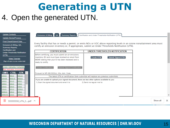## **Generating a UTN** 4. Open the generated UTN.

| <b>Update Contacts</b>   | <b>Update Device/Process</b>                                                          |                                                                           | <b>Emissions &amp; Billing</b><br><b>Summary Reports</b><br>Certification and Under-Thresholds-Notification (UTN)<br>QA                                                                                                       |          |
|--------------------------|---------------------------------------------------------------------------------------|---------------------------------------------------------------------------|-------------------------------------------------------------------------------------------------------------------------------------------------------------------------------------------------------------------------------|----------|
| <b>Certification and</b> | <b>Final Check/Submit Data</b><br>Emissions & Billing, QA,<br><b>Summary Reports,</b> |                                                                           | Every facility that has or needs a permit; or emits NOx or VOC above reporting levels in an ozone nonattainment area must<br>certify an emission inventory or, if appropriate, submit an Under Thresholds Notification (UTN). |          |
|                          |                                                                                       | Under-Thresholds-Notification                                             | <b>CERTIFICATION</b><br>UNDER-THRESHOLDS-NOTIFICATION                                                                                                                                                                         |          |
| (UTN)                    |                                                                                       |                                                                           | Before certifying, you must submit an air emissions                                                                                                                                                                           |          |
|                          | <b>Video Tutorials</b>                                                                | (Page will open in a new window/tab)                                      | inventory (EI) and must have received an email from<br><b>Submit Signed UTN</b><br><b>Create UTN</b><br>WDNR stating that your El has been reviewed and is<br>ready to certify.                                               |          |
| <b>EMIS</b>              | <b>CTRL</b>                                                                           | <b>Green Indicates Complete</b><br>Red Indicates Incomplete<br><b>STK</b> | <b>Create Certification</b><br><b>Submit Signed Certification</b>                                                                                                                                                             |          |
|                          |                                                                                       |                                                                           | Pursuant to NR 438.03(5)(c), Wis. Adm. Code.                                                                                                                                                                                  |          |
| 1004-01                  | 805-01                                                                                | S001-01                                                                   | The latest UTN or certification form submittal will replace any previous submittals.                                                                                                                                          |          |
| 1004-125                 | BAG1-01                                                                               | 3003-01                                                                   | If you are unable to upload your signed document, there are two other options available to you:                                                                                                                               |          |
| 1005-01                  | C01-01                                                                                | S09-01                                                                    | 1) Scan the signed document and email it to<br>2) Send via regular mail to:                                                                                                                                                   |          |
| 1006-01                  | 003-01                                                                                | S16-01                                                                    |                                                                                                                                                                                                                               |          |
| 1102-01<br>1103-01       | C04-01<br>C07-01                                                                      | S19-01<br>S199-01                                                         |                                                                                                                                                                                                                               |          |
| 55858-01                 | 009-01                                                                                | S79-01                                                                    |                                                                                                                                                                                                                               |          |
|                          |                                                                                       |                                                                           |                                                                                                                                                                                                                               |          |
| 55858-P01                | C10-01                                                                                | S999-01                                                                   |                                                                                                                                                                                                                               |          |
|                          |                                                                                       | 555555550_UTN_2pdf ^                                                      | Show all                                                                                                                                                                                                                      | $\times$ |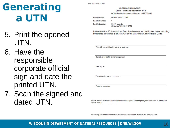# Generating a UTN

- 5. Print the opened UTN.
- 6. Have the responsible corporate official sign and date the printed UTN.
- 7. Scan the signed and dated UTN.

9/2/2020 6:31:33 AM

**AIR EMISSIONS SUMMARY** Under-Thresholds-Notification (UTN)

WDNR Facility Identification Number: 555555550

**Facility Name:** AIR Test FACILITY #1

**Facility Contact:**  $-1$ 

**Facility Location:** 

5016 N Lake Dr Milwaukee WI 53217-5748

I attest that the 2019 emissions from the above-named facility are below reporting thresholds as defined in ch. NR 438 of the Wisconsin Administrative Code.

Print full name of facility owner or operator

Signature of facility owner or operator

Date signed

Title of facility owner or operator

Telephone number

Please email a scanned copy of this document to grant.hetherington@wisconsin.gov or send it via regular mail to:

Personally identifiable information on this document will be used for no other purpose.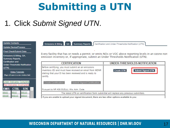## **Submitting a UTN**

### 1. Click *Submit Signed UTN*.

| <b>Update Contacts</b>                                                                                                   | Emissions & Billing<br>QA                                                                                                                                                             | Summary Reports Certification and Under-Thresholds-Notification (UTN)                                 |  |  |
|--------------------------------------------------------------------------------------------------------------------------|---------------------------------------------------------------------------------------------------------------------------------------------------------------------------------------|-------------------------------------------------------------------------------------------------------|--|--|
| Update Device/Process                                                                                                    |                                                                                                                                                                                       |                                                                                                       |  |  |
| <b>Final Check/Submit Data</b>                                                                                           |                                                                                                                                                                                       |                                                                                                       |  |  |
| Emissions & Billing, QA,<br><b>Summary Reports,</b>                                                                      | emission inventory or, if appropriate, submit an Under Thresholds Notification (UTN).                                                                                                 | Every facility that has or needs a permit; or emits NOx or VOC above reporting levels in an ozone non |  |  |
| <b>Certification and</b><br>Under-Thresholds-Notification                                                                | <b>CERTIFICATION</b>                                                                                                                                                                  | UNDER-THRESHOLDS-NOTIFICATION                                                                         |  |  |
| (UTN)<br><b>Video Tutorials</b><br>(Page will open in a new window/tab)                                                  | Before certifying, you must submit an air emissions<br>inventory (EI) and must have received an email from WDNR<br>stating that your El has been reviewed and is ready to<br>certify. | <b>Submit Signed UTN</b><br><b>Create UTN</b>                                                         |  |  |
| <b>Green Indicates Complete</b><br>Red Indicates Incomplete                                                              | <b>Create Certification</b><br><b>Submit Signed Certification</b>                                                                                                                     |                                                                                                       |  |  |
| <b>EMIS CTRL</b><br><b>STK</b>                                                                                           | Pursuant to NR 438.03(5)(c), Wis. Adm. Code.                                                                                                                                          |                                                                                                       |  |  |
| B05-01<br>S001-01<br>$1004 - 01$<br>The latest UTN or certification form submittal will replace any previous submittals. |                                                                                                                                                                                       |                                                                                                       |  |  |
| S003-01<br>1004-125<br><b>BAG1-01</b>                                                                                    | If you are unable to upload your signed document, there are two other options available to you:                                                                                       |                                                                                                       |  |  |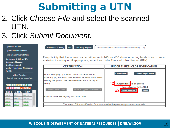## **Submitting a UTN**

### 2. Click *Choose File* and select the scanned UTN.

### 3. Click *Submit Document*.

| <b>Update Contacts</b>                                                | <b>Emissions &amp; Billing</b><br>QA                                                                                                                                      | Summary Reports   Certification and Under-Thresholds-Notification (UTN)                              |
|-----------------------------------------------------------------------|---------------------------------------------------------------------------------------------------------------------------------------------------------------------------|------------------------------------------------------------------------------------------------------|
| <b>Update Device/Process</b>                                          |                                                                                                                                                                           |                                                                                                      |
| <b>Final Check/Submit Data</b>                                        |                                                                                                                                                                           |                                                                                                      |
| Emissions & Billing, QA,<br><b>Summary Reports,</b>                   | emission inventory or, if appropriate, submit an Under Thresholds Notification (UTN).                                                                                     | Every facility that has or needs a permit; or emits NOx or VOC above reporting levels in an ozone no |
| <b>Certification and</b>                                              | <b>CERTIFICATION</b>                                                                                                                                                      | UNDER-THRESHOLDS-NOTIFICATION                                                                        |
| Under-Thresholds-Notification<br>(UTN)                                |                                                                                                                                                                           |                                                                                                      |
| <b>Video Tutorials</b><br>(Page will open in a new window/tab)        | Before certifying, you must submit an air emissions<br>inventory (EI) and must have received an email from WDNR<br>stating that your El has been reviewed and is ready to | <b>Create UTN</b><br><b>Submit Signed UTN</b>                                                        |
| <b>Green Indicates Complete</b>                                       | certify.                                                                                                                                                                  | Choose File No file chosen                                                                           |
| Red Indicates Incomplete<br><b>EMIS</b><br><b>CTRL</b><br><b>STK</b>  | <b>Create Certification</b><br><b>Submit Signed Certification</b>                                                                                                         | Maximum Submitted File Size: 100MB<br><b>Submit Document</b><br><b>Cancel</b>                        |
| S001-01<br>1004-01<br>B05-01<br>S003-01<br>1004-125<br><b>BAG1-01</b> | Pursuant to NR 438.03(5)(c), Wis. Adm. Code.                                                                                                                              |                                                                                                      |

The latest UTN or certification form submittal will replace any previous submittals.